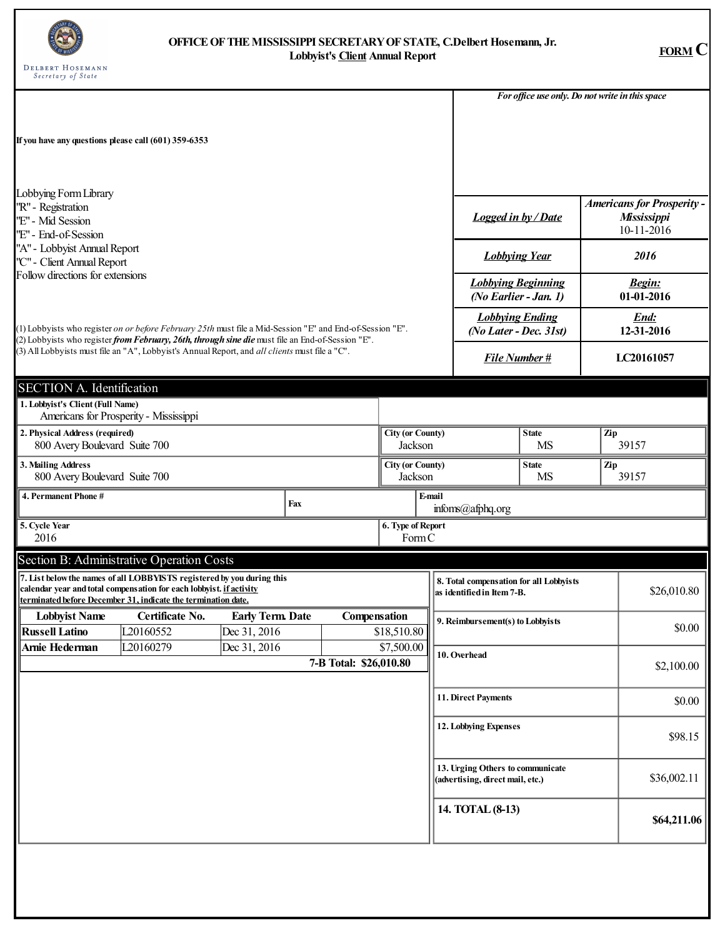

## **OFFICEOFTHEMISSISSIPPI SECRETARYOFSTATE, C.Delbert Hosemann, Jr. Lobbyist's Client Annual Report FORM C**

|                                                                                                                                                                                                                |                                                                                                                                                                                                                |                                  |     |                        |                                                                 |                                  |                                                                       |  |              | For office use only. Do not write in this space                |  |
|----------------------------------------------------------------------------------------------------------------------------------------------------------------------------------------------------------------|----------------------------------------------------------------------------------------------------------------------------------------------------------------------------------------------------------------|----------------------------------|-----|------------------------|-----------------------------------------------------------------|----------------------------------|-----------------------------------------------------------------------|--|--------------|----------------------------------------------------------------|--|
| If you have any questions please call (601) 359-6353                                                                                                                                                           |                                                                                                                                                                                                                |                                  |     |                        |                                                                 |                                  |                                                                       |  |              |                                                                |  |
| Lobbying Form Library<br>''R" - Registration<br>"E" - Mid Session<br>''E" - End-of-Session                                                                                                                     |                                                                                                                                                                                                                |                                  |     |                        |                                                                 |                                  | <b>Logged in by / Date</b>                                            |  |              | <b>Americans for Prosperity -</b><br>Mississippi<br>10-11-2016 |  |
| "A" - Lobbyist Annual Report<br>''C" - Client Annual Report                                                                                                                                                    |                                                                                                                                                                                                                |                                  |     |                        |                                                                 |                                  | <b>Lobbying Year</b>                                                  |  |              | 2016                                                           |  |
| Follow directions for extensions                                                                                                                                                                               |                                                                                                                                                                                                                |                                  |     |                        |                                                                 |                                  | <b>Lobbying Beginning</b><br>(No Earlier - Jan. 1)                    |  |              | <b>Begin:</b><br>01-01-2016                                    |  |
| (1) Lobbyists who register on or before February 25th must file a Mid-Session "E" and End-of-Session "E".<br>(2) Lobbyists who register from February, 26th, through sine die must file an End-of-Session "E". |                                                                                                                                                                                                                |                                  |     |                        |                                                                 |                                  | <b>Lobbying Ending</b><br>(No Later - Dec. 31st)                      |  |              | End:<br>12-31-2016                                             |  |
| (3) All Lobbyists must file an "A", Lobbyist's Annual Report, and all clients must file a "C".                                                                                                                 |                                                                                                                                                                                                                |                                  |     |                        |                                                                 |                                  | <b>File Number#</b>                                                   |  | LC20161057   |                                                                |  |
| <b>SECTION A. Identification</b>                                                                                                                                                                               |                                                                                                                                                                                                                |                                  |     |                        |                                                                 |                                  |                                                                       |  |              |                                                                |  |
| 1. Lobbyist's Client (Full Name)                                                                                                                                                                               | Americans for Prosperity - Mississippi                                                                                                                                                                         |                                  |     |                        |                                                                 |                                  |                                                                       |  |              |                                                                |  |
| 2. Physical Address (required)<br>800 Avery Boulevard Suite 700                                                                                                                                                |                                                                                                                                                                                                                |                                  |     |                        | <b>City (or County)</b><br><b>State</b><br>Jackson<br><b>MS</b> |                                  |                                                                       |  | Zip<br>39157 |                                                                |  |
| 3. Mailing Address<br>800 Avery Boulevard Suite 700                                                                                                                                                            |                                                                                                                                                                                                                |                                  |     |                        | <b>City (or County)</b><br>Jackson                              | <b>State</b><br>Zip<br><b>MS</b> |                                                                       |  | 39157        |                                                                |  |
| 4. Permanent Phone #                                                                                                                                                                                           |                                                                                                                                                                                                                |                                  | Fax |                        |                                                                 | E-mail                           | $infoms$ ( $a$ ) $afphq.org$                                          |  |              |                                                                |  |
| 5. Cycle Year<br>2016                                                                                                                                                                                          |                                                                                                                                                                                                                |                                  |     |                        | 6. Type of Report<br>FormC                                      |                                  |                                                                       |  |              |                                                                |  |
|                                                                                                                                                                                                                | Section B: Administrative Operation Costs                                                                                                                                                                      |                                  |     |                        |                                                                 |                                  |                                                                       |  |              |                                                                |  |
|                                                                                                                                                                                                                | 7. List below the names of all LOBBYISTS registered by you during this<br>calendar year and total compensation for each lobbyist. if activity<br>terminated before December 31, indicate the termination date. |                                  |     |                        |                                                                 |                                  | 8. Total compensation for all Lobbyists<br>as identified in Item 7-B. |  |              | \$26,010.80                                                    |  |
| <b>Lobbyist Name</b><br><b>Russell Latino</b>                                                                                                                                                                  | Certificate No.<br>L20160552                                                                                                                                                                                   | Early Term. Date<br>Dec 31, 2016 |     | Compensation           | \$18,510.80                                                     |                                  | 9. Reimbursement(s) to Lobbyists                                      |  |              | \$0.00                                                         |  |
| Arnie Hederman                                                                                                                                                                                                 | L20160279                                                                                                                                                                                                      | Dec 31, 2016                     |     | 7-B Total: \$26,010.80 | \$7,500.00                                                      |                                  | 10. Overhead                                                          |  |              |                                                                |  |
|                                                                                                                                                                                                                |                                                                                                                                                                                                                |                                  |     |                        |                                                                 |                                  | 11. Direct Payments                                                   |  |              | \$0.00                                                         |  |
|                                                                                                                                                                                                                |                                                                                                                                                                                                                |                                  |     |                        |                                                                 |                                  | 12. Lobbying Expenses                                                 |  |              | \$98.15                                                        |  |
|                                                                                                                                                                                                                |                                                                                                                                                                                                                |                                  |     |                        |                                                                 |                                  | 13. Urging Others to communicate<br>(advertising, direct mail, etc.)  |  |              | \$36,002.11                                                    |  |
|                                                                                                                                                                                                                |                                                                                                                                                                                                                |                                  |     |                        |                                                                 |                                  | 14. TOTAL (8-13)                                                      |  |              | \$64,211.06                                                    |  |
|                                                                                                                                                                                                                |                                                                                                                                                                                                                |                                  |     |                        |                                                                 |                                  |                                                                       |  |              |                                                                |  |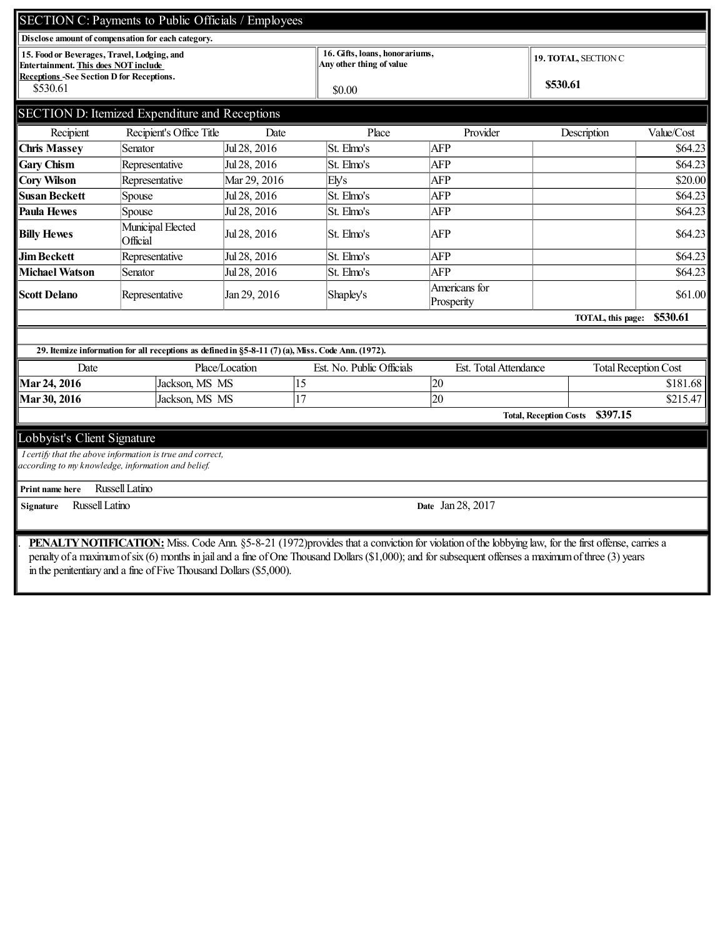| SECTION C: Payments to Public Officials / Employees                                        |                                                                                                   |                |                                                            |                             |                                           |                             |  |
|--------------------------------------------------------------------------------------------|---------------------------------------------------------------------------------------------------|----------------|------------------------------------------------------------|-----------------------------|-------------------------------------------|-----------------------------|--|
|                                                                                            | Disclose amount of compensation for each category.                                                |                |                                                            |                             |                                           |                             |  |
| 15. Food or Beverages, Travel, Lodging, and<br><b>Entertainment. This does NOT include</b> |                                                                                                   |                | 16. Gifts, loans, honorariums,<br>Any other thing of value |                             | <b>19. TOTAL, SECTION C</b>               |                             |  |
| <b>Receptions -See Section D for Receptions.</b>                                           |                                                                                                   |                |                                                            |                             |                                           |                             |  |
| \$530.61                                                                                   |                                                                                                   |                | \$0.00                                                     |                             | \$530.61                                  |                             |  |
| SECTION D: Itemized Expenditure and Receptions                                             |                                                                                                   |                |                                                            |                             |                                           |                             |  |
|                                                                                            |                                                                                                   |                |                                                            |                             |                                           |                             |  |
| Recipient                                                                                  | Recipient's Office Title                                                                          | Date           | Place                                                      | Provider                    | Description                               | Value/Cost                  |  |
| <b>Chris Massey</b>                                                                        | Senator                                                                                           | Jul 28, 2016   | St. Elmo's                                                 | <b>AFP</b>                  |                                           | \$64.23                     |  |
| <b>Gary Chism</b>                                                                          | Representative                                                                                    | Jul 28, 2016   | St. Elmo's                                                 | <b>AFP</b>                  |                                           | \$64.23                     |  |
| <b>Cory Wilson</b>                                                                         | Representative                                                                                    | Mar 29, 2016   | Ely's                                                      | <b>AFP</b>                  |                                           | \$20.00                     |  |
| Susan Beckett                                                                              | Spouse                                                                                            | Jul 28, 2016   | St. Elmo's                                                 | <b>AFP</b>                  |                                           | \$64.23                     |  |
| Paula Hewes                                                                                | Spouse                                                                                            | Jul 28, 2016   | St. Elmo's                                                 | <b>AFP</b>                  |                                           | \$64.23                     |  |
| <b>Billy Hewes</b>                                                                         | Municipal Elected<br>Official                                                                     | Jul 28, 2016   | St. Elmo's                                                 | <b>AFP</b>                  |                                           | \$64.23                     |  |
| <b>Jim Beckett</b>                                                                         | Representative                                                                                    | Jul 28, 2016   | St. Elmo's                                                 | <b>AFP</b>                  |                                           | \$64.23                     |  |
| Michael Watson                                                                             | Senator                                                                                           | Jul 28, 2016   | St. Elmo's                                                 | <b>AFP</b>                  |                                           | \$64.23                     |  |
| <b>Scott Delano</b>                                                                        | Representative                                                                                    | Jan 29, 2016   | Shapley's                                                  | Americans for<br>Prosperity |                                           | \$61.00                     |  |
|                                                                                            |                                                                                                   |                |                                                            |                             | TOTAL, this page:                         | \$530.61                    |  |
|                                                                                            |                                                                                                   |                |                                                            |                             |                                           |                             |  |
|                                                                                            | 29. Itemize information for all receptions as defined in §5-8-11 (7) (a), Miss. Code Ann. (1972). |                |                                                            |                             |                                           |                             |  |
| Date                                                                                       |                                                                                                   | Place/Location | Est. No. Public Officials                                  | Est. Total Attendance       |                                           | <b>Total Reception Cost</b> |  |
| Mar 24, 2016                                                                               | Jackson, MS MS                                                                                    | 15             |                                                            | 20                          |                                           | \$181.68                    |  |
| Mar 30, 2016                                                                               | Jackson, MS MS                                                                                    | 17             |                                                            | 20                          |                                           | \$215.47                    |  |
|                                                                                            |                                                                                                   |                |                                                            |                             | \$397.15<br><b>Total, Reception Costs</b> |                             |  |
| Lobbyist's Client Signature                                                                |                                                                                                   |                |                                                            |                             |                                           |                             |  |
|                                                                                            | I certify that the above information is true and correct,                                         |                |                                                            |                             |                                           |                             |  |
|                                                                                            | according to my knowledge, information and belief.                                                |                |                                                            |                             |                                           |                             |  |
| Print name here                                                                            | Russell Latino                                                                                    |                |                                                            |                             |                                           |                             |  |
| Russell Latino<br><b>Signature</b>                                                         |                                                                                                   |                |                                                            | Date Jan 28, 2017           |                                           |                             |  |
|                                                                                            |                                                                                                   |                |                                                            |                             |                                           |                             |  |
|                                                                                            |                                                                                                   |                |                                                            |                             |                                           |                             |  |

. PENALTYNOTIFICATION: Miss. Code Ann. §5-8-21 (1972)provides that a conviction for violation of the lobbying law, for the first offense, carries a penalty of a maximumofsix (6) monthsin jail and a fine ofOne Thousand Dollars(\$1,000); and forsubsequent offenses a maximumofthree (3) years in the penitentiary and a fine ofFive Thousand Dollars(\$5,000).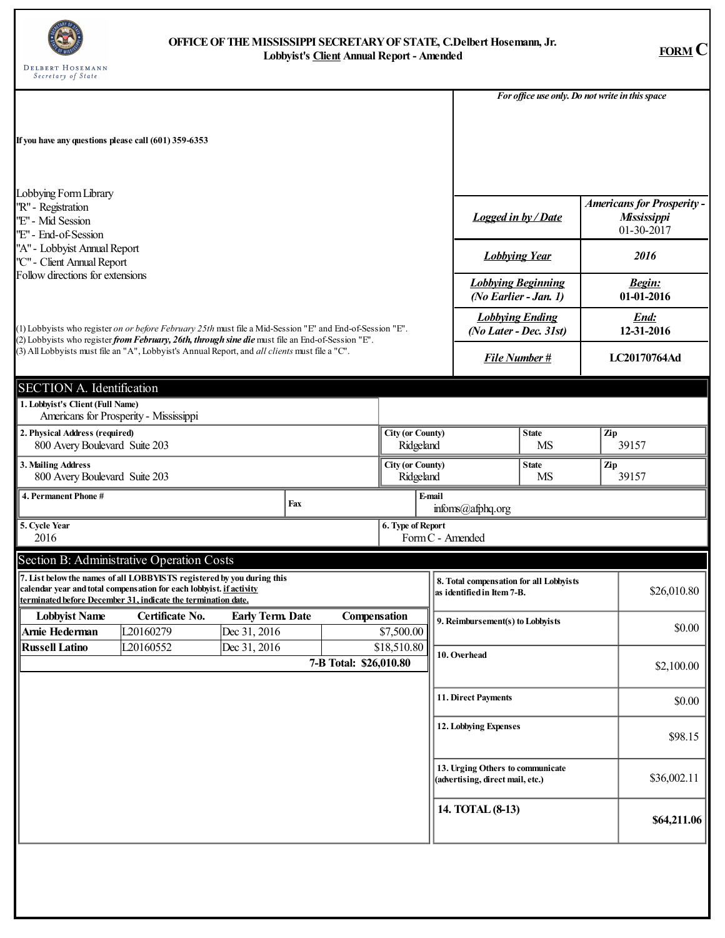

## **OFFICEOFTHEMISSISSIPPI SECRETARYOFSTATE, C.Delbert Hosemann, Jr. Lobbyist's Client Annual Report - Amended FORM C**

|                                                                                            |                                                                                                                                                                                                                |                                        |                        |                                      |                                      |                                                                       | For office use only. Do not write in this space |     |                                                                |  |
|--------------------------------------------------------------------------------------------|----------------------------------------------------------------------------------------------------------------------------------------------------------------------------------------------------------------|----------------------------------------|------------------------|--------------------------------------|--------------------------------------|-----------------------------------------------------------------------|-------------------------------------------------|-----|----------------------------------------------------------------|--|
| If you have any questions please call (601) 359-6353                                       |                                                                                                                                                                                                                |                                        |                        |                                      |                                      |                                                                       |                                                 |     |                                                                |  |
| Lobbying Form Library<br>''R" - Registration<br>"E" - Mid Session<br>''E" - End-of-Session |                                                                                                                                                                                                                |                                        |                        |                                      |                                      | <b>Logged in by / Date</b>                                            |                                                 |     | <b>Americans for Prosperity -</b><br>Mississippi<br>01-30-2017 |  |
| "A" - Lobbyist Annual Report<br>"C" - Client Annual Report                                 |                                                                                                                                                                                                                |                                        |                        |                                      |                                      | <b>Lobbying Year</b>                                                  |                                                 |     | 2016                                                           |  |
| Follow directions for extensions                                                           |                                                                                                                                                                                                                |                                        |                        |                                      |                                      | <b>Lobbying Beginning</b><br>(No Earlier - Jan. 1)                    |                                                 |     | <b>Begin:</b><br>01-01-2016                                    |  |
|                                                                                            | (1) Lobbyists who register on or before February 25th must file a Mid-Session "E" and End-of-Session "E".                                                                                                      |                                        |                        |                                      |                                      | <b>Lobbying Ending</b><br>(No Later - Dec. 31st)                      |                                                 |     | End:<br>12-31-2016                                             |  |
|                                                                                            | (2) Lobbyists who register from February, 26th, through sine die must file an End-of-Session "E".<br>(3) All Lobbyists must file an "A", Lobbyist's Annual Report, and all clients must file a "C".            |                                        |                        |                                      |                                      | <b>File Number#</b>                                                   |                                                 |     | LC20170764Ad                                                   |  |
| <b>SECTION A. Identification</b>                                                           |                                                                                                                                                                                                                |                                        |                        |                                      |                                      |                                                                       |                                                 |     |                                                                |  |
| 1. Lobbyist's Client (Full Name)                                                           | Americans for Prosperity - Mississippi                                                                                                                                                                         |                                        |                        |                                      |                                      |                                                                       |                                                 |     |                                                                |  |
| 2. Physical Address (required)<br>800 Avery Boulevard Suite 203                            |                                                                                                                                                                                                                |                                        |                        |                                      | <b>City (or County)</b><br>Ridgeland |                                                                       | <b>State</b><br><b>MS</b>                       | Zip | 39157                                                          |  |
| 3. Mailing Address<br>800 Avery Boulevard Suite 203                                        |                                                                                                                                                                                                                |                                        |                        | <b>City (or County)</b><br>Ridgeland |                                      | <b>State</b><br>Zip<br><b>MS</b><br>39157                             |                                                 |     |                                                                |  |
| 4. Permanent Phone #                                                                       |                                                                                                                                                                                                                | Fax                                    |                        |                                      | E-mail                               | infoms(@afphq.org                                                     |                                                 |     |                                                                |  |
| 5. Cycle Year<br>2016                                                                      |                                                                                                                                                                                                                |                                        |                        | 6. Type of Report                    |                                      | Form C - Amended                                                      |                                                 |     |                                                                |  |
|                                                                                            | Section B: Administrative Operation Costs                                                                                                                                                                      |                                        |                        |                                      |                                      |                                                                       |                                                 |     |                                                                |  |
|                                                                                            | 7. List below the names of all LOBBYISTS registered by you during this<br>calendar year and total compensation for each lobbyist. if activity<br>terminated before December 31, indicate the termination date. |                                        |                        |                                      |                                      | 8. Total compensation for all Lobbyists<br>as identified in Item 7-B. |                                                 |     | \$26,010.80                                                    |  |
| <b>Lobbvist Name</b><br>Arnie Hederman                                                     | Certificate No.<br>L20160279                                                                                                                                                                                   | <b>Early Term Date</b><br>Dec 31, 2016 | Compensation           | \$7,500.00                           |                                      | 9. Reimbursement(s) to Lobbyists                                      |                                                 |     | \$0.00                                                         |  |
| <b>Russell Latino</b>                                                                      | L20160552                                                                                                                                                                                                      | Dec 31, 2016                           | 7-B Total: \$26,010.80 | \$18,510.80                          |                                      | 10. Overhead                                                          |                                                 |     | \$2,100.00                                                     |  |
|                                                                                            |                                                                                                                                                                                                                |                                        |                        |                                      |                                      | 11. Direct Payments                                                   |                                                 |     | \$0.00                                                         |  |
|                                                                                            |                                                                                                                                                                                                                |                                        |                        |                                      |                                      | 12. Lobbying Expenses                                                 |                                                 |     | \$98.15                                                        |  |
|                                                                                            |                                                                                                                                                                                                                |                                        |                        |                                      |                                      | 13. Urging Others to communicate<br>(advertising, direct mail, etc.)  |                                                 |     | \$36,002.11                                                    |  |
|                                                                                            |                                                                                                                                                                                                                |                                        |                        |                                      |                                      | 14. TOTAL (8-13)                                                      |                                                 |     | \$64,211.06                                                    |  |
|                                                                                            |                                                                                                                                                                                                                |                                        |                        |                                      |                                      |                                                                       |                                                 |     |                                                                |  |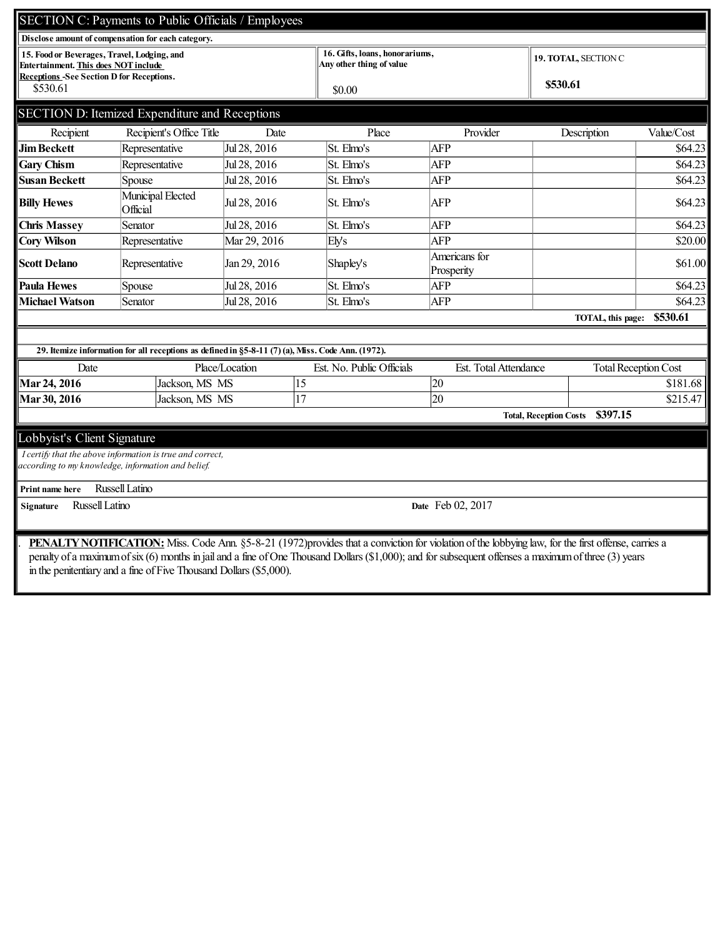|                                                              | SECTION C: Payments to Public Officials / Employees                                               |                |                                                            |                             |                                           |            |  |
|--------------------------------------------------------------|---------------------------------------------------------------------------------------------------|----------------|------------------------------------------------------------|-----------------------------|-------------------------------------------|------------|--|
|                                                              | Disclose amount of compensation for each category.                                                |                |                                                            |                             |                                           |            |  |
| Entertainment. This does NOT include                         | 15. Food or Beverages, Travel, Lodging, and                                                       |                | 16. Gifts, loans, honorariums,<br>Any other thing of value |                             | <b>19. TOTAL, SECTION C</b>               |            |  |
| <b>Receptions -See Section D for Receptions.</b><br>\$530.61 |                                                                                                   |                | \$0.00                                                     |                             | \$530.61                                  |            |  |
|                                                              | SECTION D: Itemized Expenditure and Receptions                                                    |                |                                                            |                             |                                           |            |  |
| Recipient                                                    | Recipient's Office Title                                                                          | Date           | Place                                                      | Provider                    | Description                               | Value/Cost |  |
| <b>Jim Beckett</b>                                           | Representative                                                                                    | Jul 28, 2016   | St. Elmo's                                                 | <b>AFP</b>                  |                                           | \$64.23    |  |
| <b>Gary Chism</b>                                            | Representative                                                                                    | Jul 28, 2016   | St. Elmo's                                                 | <b>AFP</b>                  |                                           | \$64.23    |  |
| Susan Beckett                                                | Spouse                                                                                            | Jul 28, 2016   | St. Elmo's                                                 | AFP                         |                                           | \$64.23    |  |
| <b>Billy Hewes</b>                                           | Municipal Elected<br>Official                                                                     | Jul 28, 2016   | St. Elmo's                                                 | <b>AFP</b>                  |                                           | \$64.23    |  |
| <b>Chris Massey</b>                                          | Senator                                                                                           | Jul 28, 2016   | St. Elmo's                                                 | <b>AFP</b>                  |                                           | \$64.23    |  |
| <b>Cory Wilson</b>                                           | Representative                                                                                    | Mar 29, 2016   | Ely's                                                      | <b>AFP</b>                  |                                           | \$20.00    |  |
| <b>Scott Delano</b>                                          | Representative                                                                                    | Jan 29, 2016   | Shapley's                                                  | Americans for<br>Prosperity |                                           | \$61.00    |  |
| Paula Hewes                                                  | Spouse                                                                                            | Jul 28, 2016   | St. Elmo's                                                 | <b>AFP</b>                  |                                           | \$64.23    |  |
| Michael Watson                                               | Senator                                                                                           | Jul 28, 2016   | St. Elmo's                                                 | <b>AFP</b>                  |                                           | \$64.23    |  |
|                                                              |                                                                                                   |                |                                                            |                             | TOTAL, this page:                         | \$530.61   |  |
|                                                              |                                                                                                   |                |                                                            |                             |                                           |            |  |
|                                                              | 29. Itemize information for all receptions as defined in §5-8-11 (7) (a), Miss. Code Ann. (1972). |                |                                                            |                             |                                           |            |  |
| Date                                                         |                                                                                                   | Place/Location | Est. No. Public Officials                                  | Est. Total Attendance       | <b>Total Reception Cost</b>               |            |  |
| Mar 24, 2016                                                 | Jackson, MS MS                                                                                    | 15             |                                                            | 20                          |                                           | \$181.68   |  |
| Mar 30, 2016                                                 | Jackson, MS MS                                                                                    | 17             |                                                            | 20                          |                                           | \$215.47   |  |
|                                                              |                                                                                                   |                |                                                            |                             | \$397.15<br><b>Total, Reception Costs</b> |            |  |
| Lobbyist's Client Signature                                  |                                                                                                   |                |                                                            |                             |                                           |            |  |
|                                                              | I certify that the above information is true and correct,                                         |                |                                                            |                             |                                           |            |  |
|                                                              | according to my knowledge, information and belief.                                                |                |                                                            |                             |                                           |            |  |
| Print name here                                              | Russell Latino                                                                                    |                |                                                            |                             |                                           |            |  |
| Signature                                                    | Russell Latino                                                                                    |                |                                                            | Date Feb 02, 2017           |                                           |            |  |
|                                                              |                                                                                                   |                |                                                            |                             |                                           |            |  |

. PENALTYNOTIFICATION: Miss. Code Ann. §5-8-21 (1972)provides that a conviction for violation of the lobbying law, for the first offense, carries a penalty of a maximumofsix (6) monthsin jail and a fine ofOne Thousand Dollars(\$1,000); and forsubsequent offenses a maximumofthree (3) years in the penitentiary and a fine ofFive Thousand Dollars(\$5,000).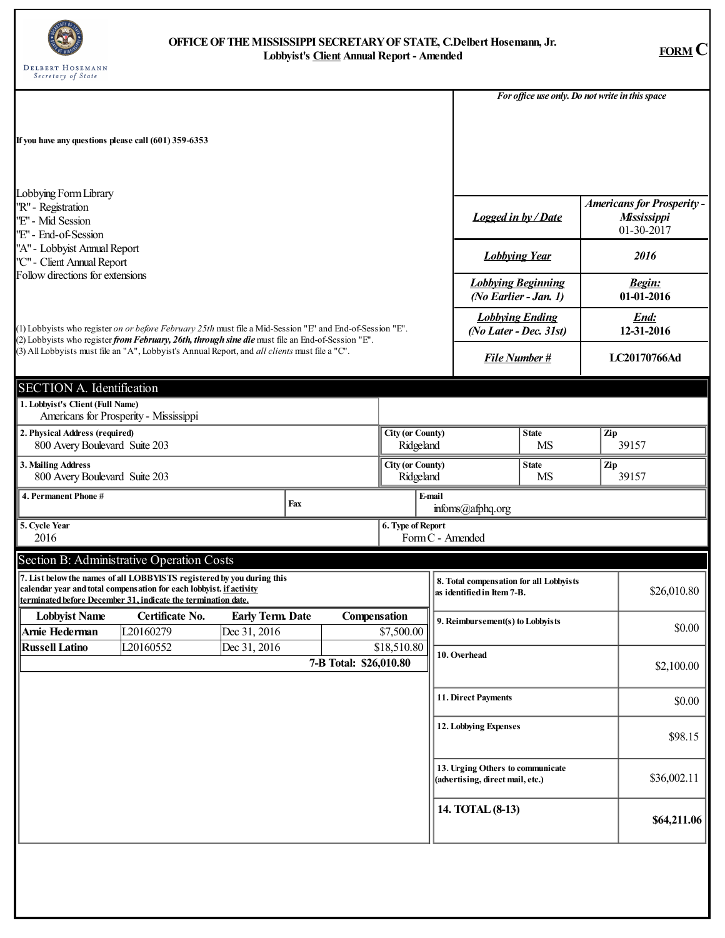

## **OFFICEOFTHEMISSISSIPPI SECRETARYOFSTATE, C.Delbert Hosemann, Jr. Lobbyist's Client Annual Report - Amended FORM C**

|                                                                                            |                                                                                                                                                                                                                |                                        |                        |                                      |                                                      |                                                                       | For office use only. Do not write in this space |     |                                                                |  |
|--------------------------------------------------------------------------------------------|----------------------------------------------------------------------------------------------------------------------------------------------------------------------------------------------------------------|----------------------------------------|------------------------|--------------------------------------|------------------------------------------------------|-----------------------------------------------------------------------|-------------------------------------------------|-----|----------------------------------------------------------------|--|
| If you have any questions please call (601) 359-6353                                       |                                                                                                                                                                                                                |                                        |                        |                                      |                                                      |                                                                       |                                                 |     |                                                                |  |
|                                                                                            |                                                                                                                                                                                                                |                                        |                        |                                      |                                                      |                                                                       |                                                 |     |                                                                |  |
| Lobbying Form Library<br>''R" - Registration<br>"E" - Mid Session<br>''E" - End-of-Session |                                                                                                                                                                                                                |                                        |                        |                                      |                                                      | <b>Logged in by / Date</b>                                            |                                                 |     | <b>Americans for Prosperity -</b><br>Mississippi<br>01-30-2017 |  |
| "A" - Lobbyist Annual Report<br>"C" - Client Annual Report                                 |                                                                                                                                                                                                                |                                        |                        |                                      |                                                      | <b>Lobbying Year</b>                                                  |                                                 |     | 2016                                                           |  |
| Follow directions for extensions                                                           |                                                                                                                                                                                                                |                                        |                        |                                      |                                                      | <b>Lobbying Beginning</b><br>(No Earlier - Jan. 1)                    |                                                 |     | <b>Begin:</b><br>01-01-2016                                    |  |
|                                                                                            | (1) Lobbyists who register on or before February 25th must file a Mid-Session "E" and End-of-Session "E".                                                                                                      |                                        |                        |                                      |                                                      | <b>Lobbying Ending</b><br>(No Later - Dec. 31st)                      |                                                 |     | End:<br>12-31-2016                                             |  |
|                                                                                            | (2) Lobbyists who register from February, 26th, through sine die must file an End-of-Session "E".<br>(3) All Lobbyists must file an "A", Lobbyist's Annual Report, and all clients must file a "C".            |                                        |                        |                                      |                                                      | <b>File Number#</b>                                                   |                                                 |     | LC20170766Ad                                                   |  |
| <b>SECTION A. Identification</b>                                                           |                                                                                                                                                                                                                |                                        |                        |                                      |                                                      |                                                                       |                                                 |     |                                                                |  |
| 1. Lobbyist's Client (Full Name)                                                           | Americans for Prosperity - Mississippi                                                                                                                                                                         |                                        |                        |                                      |                                                      |                                                                       |                                                 |     |                                                                |  |
| 2. Physical Address (required)<br>800 Avery Boulevard Suite 203                            |                                                                                                                                                                                                                |                                        |                        |                                      | <b>City (or County)</b><br><b>State</b><br>Ridgeland |                                                                       | <b>MS</b>                                       | Zip | 39157                                                          |  |
| 3. Mailing Address<br>800 Avery Boulevard Suite 203                                        |                                                                                                                                                                                                                |                                        |                        | <b>City (or County)</b><br>Ridgeland |                                                      | <b>State</b><br>Zip<br><b>MS</b><br>39157                             |                                                 |     |                                                                |  |
| 4. Permanent Phone #                                                                       |                                                                                                                                                                                                                | Fax                                    |                        |                                      | E-mail                                               | infoms(@afphq.org                                                     |                                                 |     |                                                                |  |
| 5. Cycle Year<br>2016                                                                      |                                                                                                                                                                                                                |                                        |                        | 6. Type of Report                    |                                                      | Form C - Amended                                                      |                                                 |     |                                                                |  |
|                                                                                            | Section B: Administrative Operation Costs                                                                                                                                                                      |                                        |                        |                                      |                                                      |                                                                       |                                                 |     |                                                                |  |
|                                                                                            | 7. List below the names of all LOBBYISTS registered by you during this<br>calendar year and total compensation for each lobbyist. if activity<br>terminated before December 31, indicate the termination date. |                                        |                        |                                      |                                                      | 8. Total compensation for all Lobbyists<br>as identified in Item 7-B. |                                                 |     | \$26,010.80                                                    |  |
| <b>Lobbvist Name</b><br>Arnie Hederman                                                     | Certificate No.<br>L20160279                                                                                                                                                                                   | <b>Early Term Date</b><br>Dec 31, 2016 | Compensation           | \$7,500.00                           |                                                      | 9. Reimbursement(s) to Lobbyists                                      |                                                 |     | \$0.00                                                         |  |
| <b>Russell Latino</b>                                                                      | L20160552                                                                                                                                                                                                      | Dec 31, 2016                           | 7-B Total: \$26,010.80 | \$18,510.80                          |                                                      | 10. Overhead                                                          |                                                 |     | \$2,100.00                                                     |  |
|                                                                                            |                                                                                                                                                                                                                |                                        |                        |                                      |                                                      | 11. Direct Payments                                                   |                                                 |     | \$0.00                                                         |  |
|                                                                                            |                                                                                                                                                                                                                |                                        |                        |                                      |                                                      | 12. Lobbying Expenses                                                 |                                                 |     | \$98.15                                                        |  |
|                                                                                            |                                                                                                                                                                                                                |                                        |                        |                                      |                                                      | 13. Urging Others to communicate<br>(advertising, direct mail, etc.)  |                                                 |     | \$36,002.11                                                    |  |
|                                                                                            |                                                                                                                                                                                                                |                                        |                        |                                      |                                                      | 14. TOTAL (8-13)                                                      |                                                 |     | \$64,211.06                                                    |  |
|                                                                                            |                                                                                                                                                                                                                |                                        |                        |                                      |                                                      |                                                                       |                                                 |     |                                                                |  |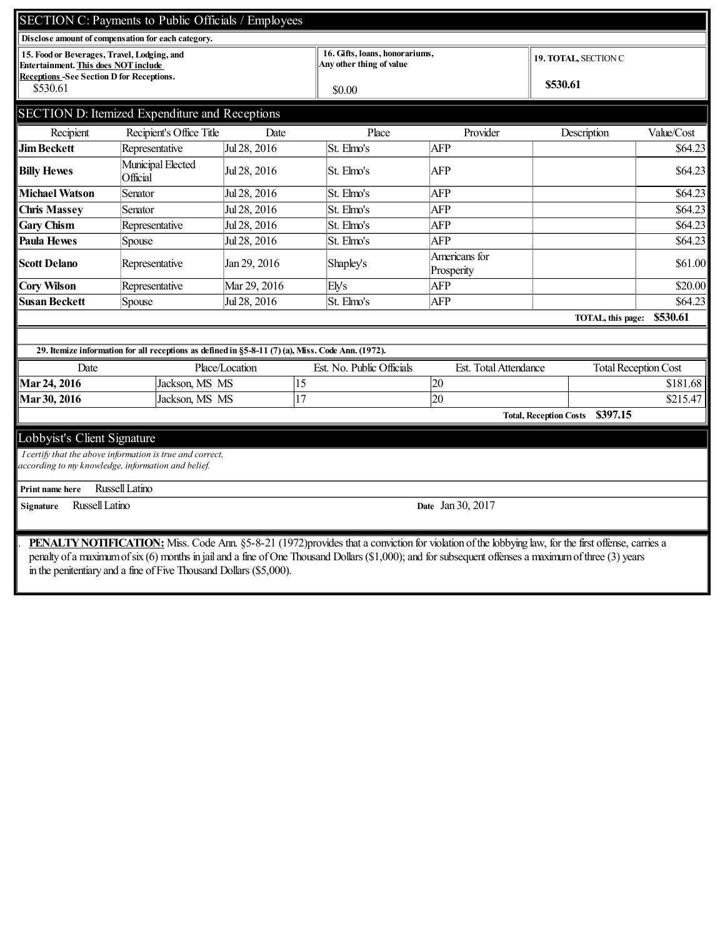|                                                                                                                                               | SECTION C: Payments to Public Officials / Employees                                               |                |                                                            |                             |                                           |            |  |
|-----------------------------------------------------------------------------------------------------------------------------------------------|---------------------------------------------------------------------------------------------------|----------------|------------------------------------------------------------|-----------------------------|-------------------------------------------|------------|--|
|                                                                                                                                               | Disclose amount of compensation for each category.                                                |                |                                                            |                             |                                           |            |  |
| 15. Food or Beverages, Travel, Lodging, and<br><b>Entertainment. This does NOT include</b><br><b>Receptions-See Section D for Receptions.</b> |                                                                                                   |                | 16. Gifts, loans, honorariums,<br>Any other thing of value |                             | <b>19. TOTAL, SECTION C</b>               |            |  |
| \$530.61                                                                                                                                      |                                                                                                   |                | \$0.00                                                     |                             | \$530.61                                  |            |  |
|                                                                                                                                               | SECTION D: Itemized Expenditure and Receptions                                                    |                |                                                            |                             |                                           |            |  |
| Recipient                                                                                                                                     | Recipient's Office Title                                                                          | Date           | Place                                                      | Provider                    | Description                               | Value/Cost |  |
| Jim Beckett                                                                                                                                   | Representative                                                                                    | Jul 28, 2016   | St. Elmo's                                                 | <b>AFP</b>                  |                                           | \$64.23    |  |
| <b>Billy Hewes</b>                                                                                                                            | Municipal Elected<br>Official                                                                     | Jul 28, 2016   | St. Elmo's                                                 | <b>AFP</b>                  |                                           | \$64.23    |  |
| Michael Watson                                                                                                                                | Senator                                                                                           | Jul 28, 2016   | St. Elmo's                                                 | <b>AFP</b>                  |                                           | \$64.23    |  |
| <b>Chris Massey</b>                                                                                                                           | Senator                                                                                           | Jul 28, 2016   | St. Elmo's                                                 | <b>AFP</b>                  |                                           | \$64.23    |  |
| <b>Gary Chism</b>                                                                                                                             | Representative                                                                                    | Jul 28, 2016   | St. Elmo's                                                 | <b>AFP</b>                  |                                           | \$64.23    |  |
| Paula Hewes                                                                                                                                   | Spouse                                                                                            | Jul 28, 2016   | St. Elmo's                                                 | <b>AFP</b>                  |                                           | \$64.23    |  |
| <b>Scott Delano</b>                                                                                                                           | Representative                                                                                    | Jan 29, 2016   | Shapley's                                                  | Americans for<br>Prosperity |                                           | \$61.00    |  |
| <b>Cory Wilson</b>                                                                                                                            | Representative                                                                                    | Mar 29, 2016   | Ely's                                                      | <b>AFP</b>                  |                                           | \$20.00]   |  |
| Susan Beckett                                                                                                                                 | Spouse                                                                                            | Jul 28, 2016   | St. Elmo's                                                 | <b>AFP</b>                  |                                           | \$64.23    |  |
|                                                                                                                                               |                                                                                                   |                |                                                            |                             | TOTAL, this page:                         | \$530.61   |  |
|                                                                                                                                               |                                                                                                   |                |                                                            |                             |                                           |            |  |
|                                                                                                                                               | 29. Itemize information for all receptions as defined in §5-8-11 (7) (a), Miss. Code Ann. (1972). |                |                                                            |                             |                                           |            |  |
| Date                                                                                                                                          |                                                                                                   | Place/Location | Est. No. Public Officials                                  | Est. Total Attendance       | <b>Total Reception Cost</b>               |            |  |
| Mar 24, 2016                                                                                                                                  | Jackson, MS MS                                                                                    | 15             |                                                            | 20                          |                                           | \$181.68   |  |
| Mar 30, 2016                                                                                                                                  | Jackson, MS MS                                                                                    | 17             |                                                            | 20                          |                                           | \$215.47   |  |
|                                                                                                                                               |                                                                                                   |                |                                                            |                             | \$397.15<br><b>Total, Reception Costs</b> |            |  |
| Lobbyist's Client Signature                                                                                                                   |                                                                                                   |                |                                                            |                             |                                           |            |  |
|                                                                                                                                               | I certify that the above information is true and correct,                                         |                |                                                            |                             |                                           |            |  |
|                                                                                                                                               | according to my knowledge, information and belief.                                                |                |                                                            |                             |                                           |            |  |
| Print name here                                                                                                                               | <b>Russell Latino</b>                                                                             |                |                                                            |                             |                                           |            |  |
| Russell Latino<br>Signature                                                                                                                   |                                                                                                   |                |                                                            | Date Jan 30, 2017           |                                           |            |  |
|                                                                                                                                               |                                                                                                   |                |                                                            |                             |                                           |            |  |
|                                                                                                                                               |                                                                                                   |                |                                                            |                             |                                           |            |  |

. PENALTYNOTIFICATION: Miss. Code Ann. §5-8-21 (1972)provides that a conviction for violation of the lobbying law, for the first offense, carries a penalty of a maximumofsix (6) monthsin jail and a fine ofOne Thousand Dollars(\$1,000); and forsubsequent offenses a maximumofthree (3) years in the penitentiary and a fine ofFive Thousand Dollars(\$5,000).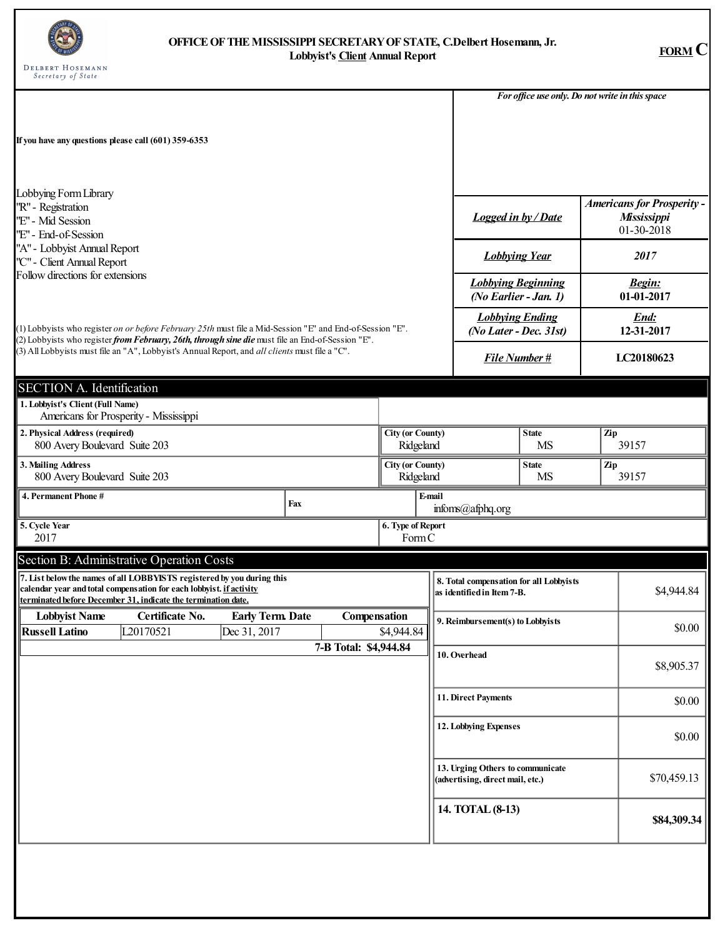

## **OFFICEOFTHEMISSISSIPPI SECRETARYOFSTATE, C.Delbert Hosemann, Jr. Lobbyist's Client Annual Report FORM C**

|                                                                                           |                                                                                                                                                                                                                |                                         |     |                       |                                      |       |                                  |                                                                       | For office use only. Do not write in this space |       |                                                                |  |
|-------------------------------------------------------------------------------------------|----------------------------------------------------------------------------------------------------------------------------------------------------------------------------------------------------------------|-----------------------------------------|-----|-----------------------|--------------------------------------|-------|----------------------------------|-----------------------------------------------------------------------|-------------------------------------------------|-------|----------------------------------------------------------------|--|
|                                                                                           | If you have any questions please call (601) 359-6353                                                                                                                                                           |                                         |     |                       |                                      |       |                                  |                                                                       |                                                 |       |                                                                |  |
| Lobbying Form Library<br>''R" - Registration<br>"E" - Mid Session<br>"E" - End-of-Session |                                                                                                                                                                                                                |                                         |     |                       |                                      |       |                                  | <b>Logged in by / Date</b>                                            |                                                 |       | <b>Americans for Prosperity -</b><br>Mississippi<br>01-30-2018 |  |
| "A" - Lobbyist Annual Report<br>''C" - Client Annual Report                               |                                                                                                                                                                                                                |                                         |     |                       |                                      |       | <b>Lobbying Year</b>             |                                                                       |                                                 |       | 2017                                                           |  |
| Follow directions for extensions                                                          |                                                                                                                                                                                                                |                                         |     |                       |                                      |       |                                  | <b>Lobbying Beginning</b><br>(No Earlier - Jan. 1)                    |                                                 |       | <b>Begin:</b><br>01-01-2017                                    |  |
|                                                                                           | (1) Lobbyists who register on or before February 25th must file a Mid-Session "E" and End-of-Session "E".                                                                                                      |                                         |     |                       |                                      |       |                                  | <b>Lobbying Ending</b><br>(No Later - Dec. 31st)                      |                                                 |       | End:<br>12-31-2017                                             |  |
|                                                                                           | (2) Lobbyists who register from February, 26th, through sine die must file an End-of-Session "E".<br>(3) All Lobbyists must file an "A", Lobbyist's Annual Report, and all clients must file a "C".            |                                         |     |                       |                                      |       |                                  | <b>File Number#</b>                                                   |                                                 |       | LC20180623                                                     |  |
| <b>SECTION A. Identification</b><br>1. Lobbyist's Client (Full Name)                      |                                                                                                                                                                                                                |                                         |     |                       |                                      |       |                                  |                                                                       |                                                 |       |                                                                |  |
| 2. Physical Address (required)<br>800 Avery Boulevard Suite 203                           | Americans for Prosperity - Mississippi                                                                                                                                                                         |                                         |     |                       | <b>City (or County)</b><br>Ridgeland |       |                                  |                                                                       | <b>State</b><br><b>MS</b>                       | Zip   | 39157                                                          |  |
| 3. Mailing Address<br>800 Avery Boulevard Suite 203                                       |                                                                                                                                                                                                                |                                         |     |                       | <b>City (or County)</b><br>Ridgeland |       | <b>State</b><br>Zip<br><b>MS</b> |                                                                       |                                                 | 39157 |                                                                |  |
| 4. Permanent Phone #                                                                      |                                                                                                                                                                                                                |                                         | Fax |                       |                                      |       | E-mail<br>infoms(@afphq.org      |                                                                       |                                                 |       |                                                                |  |
| 5. Cycle Year<br>2017                                                                     |                                                                                                                                                                                                                |                                         |     |                       | 6. Type of Report                    | FormC |                                  |                                                                       |                                                 |       |                                                                |  |
|                                                                                           | Section B: Administrative Operation Costs                                                                                                                                                                      |                                         |     |                       |                                      |       |                                  |                                                                       |                                                 |       |                                                                |  |
|                                                                                           | 7. List below the names of all LOBBYISTS registered by you during this<br>calendar year and total compensation for each lobbyist. if activity<br>terminated before December 31, indicate the termination date. |                                         |     |                       |                                      |       |                                  | 8. Total compensation for all Lobbyists<br>as identified in Item 7-B. |                                                 |       | \$4,944.84                                                     |  |
| <b>Lobbyist Name</b><br><b>Russell Latino</b>                                             | Certificate No.<br>L20170521                                                                                                                                                                                   | <b>Early Term. Date</b><br>Dec 31, 2017 |     | Compensation          | \$4,944.84                           |       | 9. Reimbursement(s) to Lobbyists |                                                                       |                                                 |       | \$0.00                                                         |  |
|                                                                                           |                                                                                                                                                                                                                |                                         |     | 7-B Total: \$4,944.84 |                                      |       |                                  | 10. Overhead                                                          |                                                 |       | \$8,905.37                                                     |  |
|                                                                                           |                                                                                                                                                                                                                |                                         |     |                       |                                      |       |                                  | 11. Direct Payments                                                   |                                                 |       | \$0.00                                                         |  |
|                                                                                           |                                                                                                                                                                                                                |                                         |     |                       |                                      |       |                                  | 12. Lobbying Expenses                                                 |                                                 |       | \$0.00                                                         |  |
|                                                                                           |                                                                                                                                                                                                                |                                         |     |                       |                                      |       |                                  | 13. Urging Others to communicate<br>(advertising, direct mail, etc.)  |                                                 |       | \$70,459.13                                                    |  |
|                                                                                           |                                                                                                                                                                                                                |                                         |     |                       |                                      |       |                                  | 14. TOTAL (8-13)                                                      |                                                 |       | \$84,309.34                                                    |  |
|                                                                                           |                                                                                                                                                                                                                |                                         |     |                       |                                      |       |                                  |                                                                       |                                                 |       |                                                                |  |